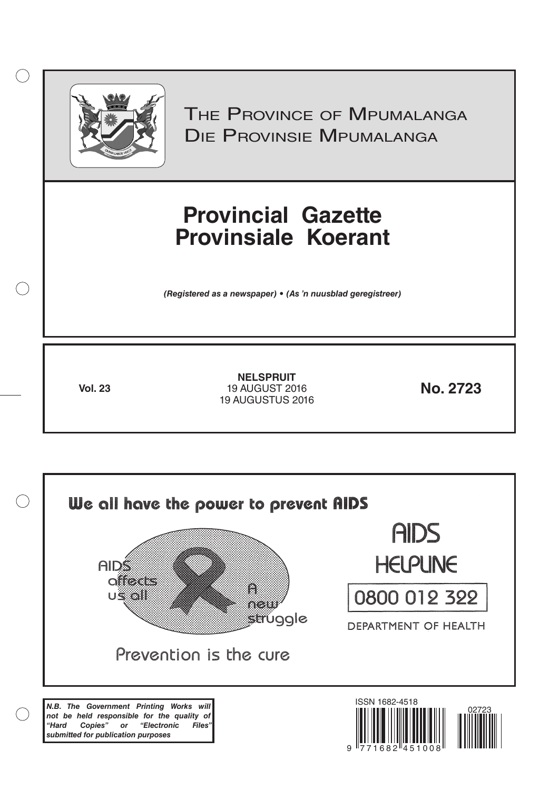

 $( )$ 

THE PROVINCE OF MPUMALANGA Die Provinsie Mpumalanga

# **Provincial Gazette Provinsiale Koerant**

*(Registered as a newspaper) • (As 'n nuusblad geregistreer)*

**Vol. 23 No. 2723** 19 AUGUST 2016 **NELSPRUIT** 19 AUGUSTUS 2016

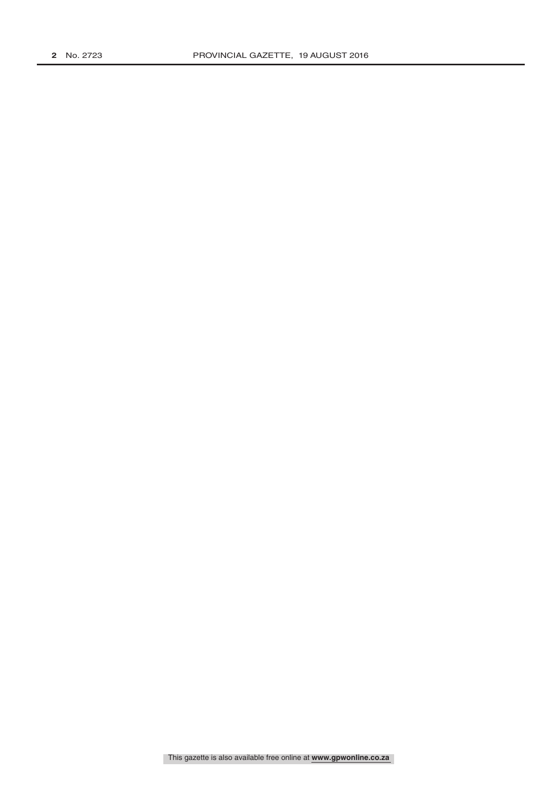This gazette is also available free online at **www.gpwonline.co.za**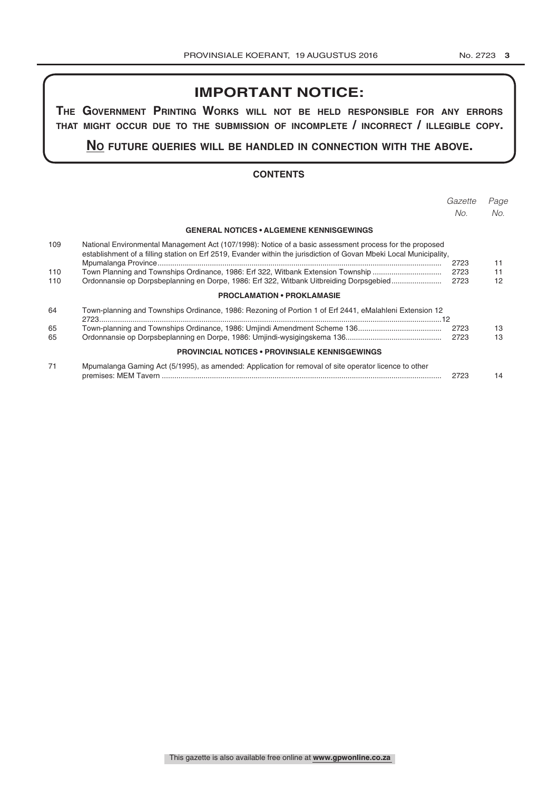# **IMPORTANT NOTICE:**

**The GovernmenT PrinTinG Works Will noT be held resPonsible for any errors ThaT miGhT occur due To The submission of incomPleTe / incorrecT / illeGible coPy.**

## **no fuTure queries Will be handled in connecTion WiTh The above.**

#### **CONTENTS**

|     |                                                                                                                                                                                                                               | Gazette | Page |
|-----|-------------------------------------------------------------------------------------------------------------------------------------------------------------------------------------------------------------------------------|---------|------|
|     |                                                                                                                                                                                                                               | No.     | No.  |
|     | <b>GENERAL NOTICES • ALGEMENE KENNISGEWINGS</b>                                                                                                                                                                               |         |      |
| 109 | National Environmental Management Act (107/1998): Notice of a basic assessment process for the proposed<br>establishment of a filling station on Erf 2519, Evander within the jurisdiction of Govan Mbeki Local Municipality, |         |      |
|     |                                                                                                                                                                                                                               | 2723    | 11   |
| 110 | Town Planning and Townships Ordinance, 1986: Erf 322, Witbank Extension Township                                                                                                                                              | 2723    | 11   |
| 110 | Ordonnansie op Dorpsbeplanning en Dorpe, 1986: Erf 322, Witbank Uitbreiding Dorpsgebied                                                                                                                                       | 2723    | 12   |
|     | <b>PROCLAMATION • PROKLAMASIE</b>                                                                                                                                                                                             |         |      |
| 64  | Town-planning and Townships Ordinance, 1986: Rezoning of Portion 1 of Erf 2441, eMalahleni Extension 12                                                                                                                       |         |      |
| 65  |                                                                                                                                                                                                                               | 2723    | 13   |
| 65  |                                                                                                                                                                                                                               | 2723    | 13   |
|     | <b>PROVINCIAL NOTICES • PROVINSIALE KENNISGEWINGS</b>                                                                                                                                                                         |         |      |
| 71  | Mpumalanga Gaming Act (5/1995), as amended: Application for removal of site operator licence to other                                                                                                                         | 2723    | 14   |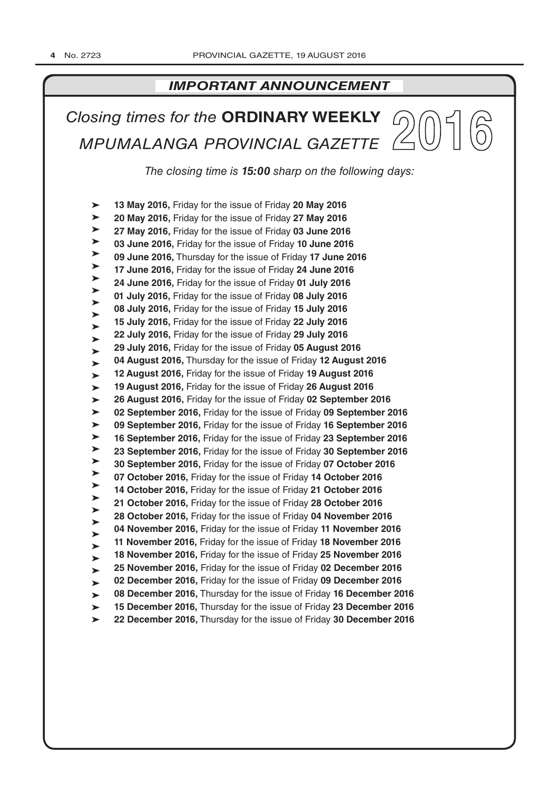# *IMPORTANT ANNOUNCEMENT*

*Closing times for the* **ORDINARY WEEKLY**  *MPUMALANGA PROVINCIAL GAZETTE*

*The closing time is 15:00 sharp on the following days:*

➤ ➤ ➤ ➤ ➤ ➤ ➤ ➤ ➤ ➤ ➤ ➤ ➤ ➤ ➤ ➤ ➤ ➤ ➤ ➤ ➤ ➤ ➤ ➤ ➤ ➤ ➤ ➤ ➤ ➤ ➤ ➤ ➤ ➤ ➤ **13 May 2016,** Friday for the issue of Friday **20 May 2016 20 May 2016,** Friday for the issue of Friday **27 May 2016 27 May 2016,** Friday for the issue of Friday **03 June 2016 03 June 2016,** Friday for the issue of Friday **10 June 2016 09 June 2016,** Thursday for the issue of Friday **17 June 2016 17 June 2016,** Friday for the issue of Friday **24 June 2016 24 June 2016,** Friday for the issue of Friday **01 July 2016 01 July 2016,** Friday for the issue of Friday **08 July 2016 08 July 2016,** Friday for the issue of Friday **15 July 2016 15 July 2016,** Friday for the issue of Friday **22 July 2016 22 July 2016,** Friday for the issue of Friday **29 July 2016 29 July 2016,** Friday for the issue of Friday **05 August 2016 04 August 2016,** Thursday for the issue of Friday **12 August 2016 12 August 2016,** Friday for the issue of Friday **19 August 2016 19 August 2016,** Friday for the issue of Friday **26 August 2016 26 August 2016,** Friday for the issue of Friday **02 September 2016 02 September 2016,** Friday for the issue of Friday **09 September 2016 09 September 2016,** Friday for the issue of Friday **16 September 2016 16 September 2016,** Friday for the issue of Friday **23 September 2016 23 September 2016,** Friday for the issue of Friday **30 September 2016 30 September 2016,** Friday for the issue of Friday **07 October 2016 07 October 2016,** Friday for the issue of Friday **14 October 2016 14 October 2016,** Friday for the issue of Friday **21 October 2016 21 October 2016,** Friday for the issue of Friday **28 October 2016 28 October 2016,** Friday for the issue of Friday **04 November 2016 04 November 2016,** Friday for the issue of Friday **11 November 2016 11 November 2016,** Friday for the issue of Friday **18 November 2016 18 November 2016,** Friday for the issue of Friday **25 November 2016 25 November 2016,** Friday for the issue of Friday **02 December 2016 02 December 2016,** Friday for the issue of Friday **09 December 2016 08 December 2016,** Thursday for the issue of Friday **16 December 2016 15 December 2016,** Thursday for the issue of Friday **23 December 2016 22 December 2016,** Thursday for the issue of Friday **30 December 2016**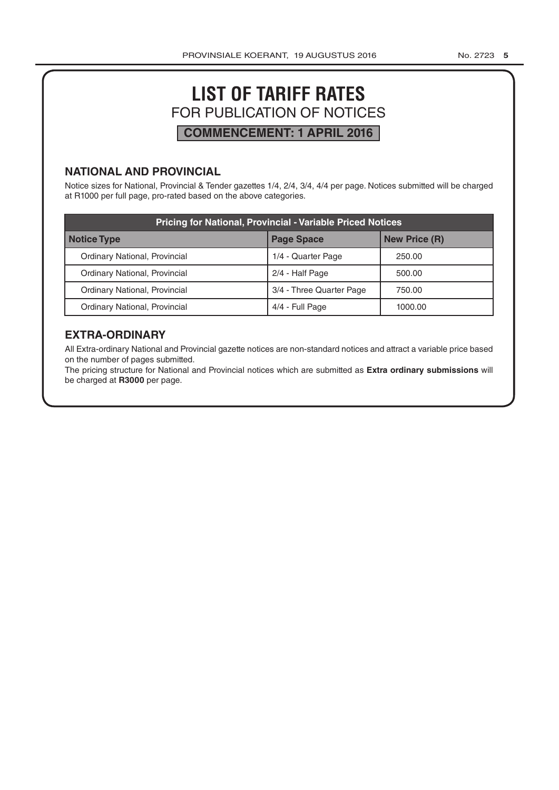# **LIST OF TARIFF RATES** FOR PUBLICATION OF NOTICES **COMMENCEMENT: 1 APRIL 2016**

## **NATIONAL AND PROVINCIAL**

Notice sizes for National, Provincial & Tender gazettes 1/4, 2/4, 3/4, 4/4 per page. Notices submitted will be charged at R1000 per full page, pro-rated based on the above categories.

| <b>Pricing for National, Provincial - Variable Priced Notices</b> |                          |                      |  |  |  |
|-------------------------------------------------------------------|--------------------------|----------------------|--|--|--|
| <b>Notice Type</b>                                                | <b>Page Space</b>        | <b>New Price (R)</b> |  |  |  |
| Ordinary National, Provincial                                     | 1/4 - Quarter Page       | 250.00               |  |  |  |
| Ordinary National, Provincial                                     | 2/4 - Half Page          | 500.00               |  |  |  |
| Ordinary National, Provincial                                     | 3/4 - Three Quarter Page | 750.00               |  |  |  |
| Ordinary National, Provincial                                     | 4/4 - Full Page          | 1000.00              |  |  |  |

# **EXTRA-ORDINARY**

All Extra-ordinary National and Provincial gazette notices are non-standard notices and attract a variable price based on the number of pages submitted.

The pricing structure for National and Provincial notices which are submitted as **Extra ordinary submissions** will be charged at **R3000** per page.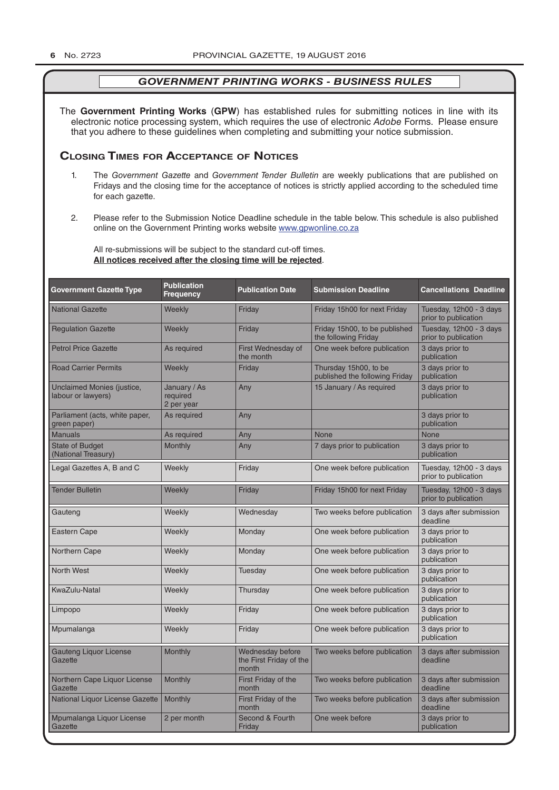The **Government Printing Works** (**GPW**) has established rules for submitting notices in line with its electronic notice processing system, which requires the use of electronic *Adobe* Forms. Please ensure that you adhere to these guidelines when completing and submitting your notice submission.

#### **Closing Times for ACCepTAnCe of noTiCes**

- 1. The *Government Gazette* and *Government Tender Bulletin* are weekly publications that are published on Fridays and the closing time for the acceptance of notices is strictly applied according to the scheduled time for each gazette.
- 2. Please refer to the Submission Notice Deadline schedule in the table below. This schedule is also published online on the Government Printing works website www.gpwonline.co.za

All re-submissions will be subject to the standard cut-off times. **All notices received after the closing time will be rejected**.

| <b>Government Gazette Type</b>                          | <b>Publication</b><br><b>Frequency</b> | <b>Publication Date</b>                              | <b>Submission Deadline</b>                              | <b>Cancellations Deadline</b>                   |
|---------------------------------------------------------|----------------------------------------|------------------------------------------------------|---------------------------------------------------------|-------------------------------------------------|
| <b>National Gazette</b>                                 | Weekly                                 | Friday                                               | Friday 15h00 for next Friday                            | Tuesday, 12h00 - 3 days<br>prior to publication |
| <b>Regulation Gazette</b>                               | Weekly                                 | Friday                                               | Friday 15h00, to be published<br>the following Friday   | Tuesday, 12h00 - 3 days<br>prior to publication |
| <b>Petrol Price Gazette</b>                             | As required                            | First Wednesday of<br>the month                      | One week before publication                             | 3 days prior to<br>publication                  |
| <b>Road Carrier Permits</b>                             | Weekly                                 | Friday                                               | Thursday 15h00, to be<br>published the following Friday | 3 days prior to<br>publication                  |
| <b>Unclaimed Monies (justice,</b><br>labour or lawyers) | January / As<br>required<br>2 per year | Any                                                  | 15 January / As required                                | 3 days prior to<br>publication                  |
| Parliament (acts, white paper,<br>green paper)          | As required                            | Any                                                  |                                                         | 3 days prior to<br>publication                  |
| <b>Manuals</b>                                          | As required                            | Any                                                  | None                                                    | <b>None</b>                                     |
| <b>State of Budget</b><br>(National Treasury)           | Monthly                                | Any                                                  | 7 days prior to publication                             | 3 days prior to<br>publication                  |
| Legal Gazettes A, B and C                               | Weekly                                 | Friday                                               | One week before publication                             | Tuesday, 12h00 - 3 days<br>prior to publication |
| <b>Tender Bulletin</b>                                  | Weekly                                 | Friday                                               | Friday 15h00 for next Friday                            | Tuesday, 12h00 - 3 days<br>prior to publication |
| Gauteng                                                 | Weekly                                 | Wednesday                                            | Two weeks before publication                            | 3 days after submission<br>deadline             |
| <b>Eastern Cape</b>                                     | Weekly                                 | Monday                                               | One week before publication                             | 3 days prior to<br>publication                  |
| Northern Cape                                           | Weekly                                 | Monday                                               | One week before publication                             | 3 days prior to<br>publication                  |
| <b>North West</b>                                       | Weekly                                 | Tuesday                                              | One week before publication                             | 3 days prior to<br>publication                  |
| KwaZulu-Natal                                           | Weekly                                 | Thursday                                             | One week before publication                             | 3 days prior to<br>publication                  |
| Limpopo                                                 | Weekly                                 | Friday                                               | One week before publication                             | 3 days prior to<br>publication                  |
| Mpumalanga                                              | Weekly                                 | Friday                                               | One week before publication                             | 3 days prior to<br>publication                  |
| <b>Gauteng Liquor License</b><br>Gazette                | Monthly                                | Wednesday before<br>the First Friday of the<br>month | Two weeks before publication                            | 3 days after submission<br>deadline             |
| Northern Cape Liquor License<br>Gazette                 | Monthly                                | First Friday of the<br>month                         | Two weeks before publication                            | 3 days after submission<br>deadline             |
| National Liquor License Gazette                         | Monthly                                | First Friday of the<br>month                         | Two weeks before publication                            | 3 days after submission<br>deadline             |
| Mpumalanga Liquor License<br>Gazette                    | 2 per month                            | Second & Fourth<br>Friday                            | One week before                                         | 3 days prior to<br>publication                  |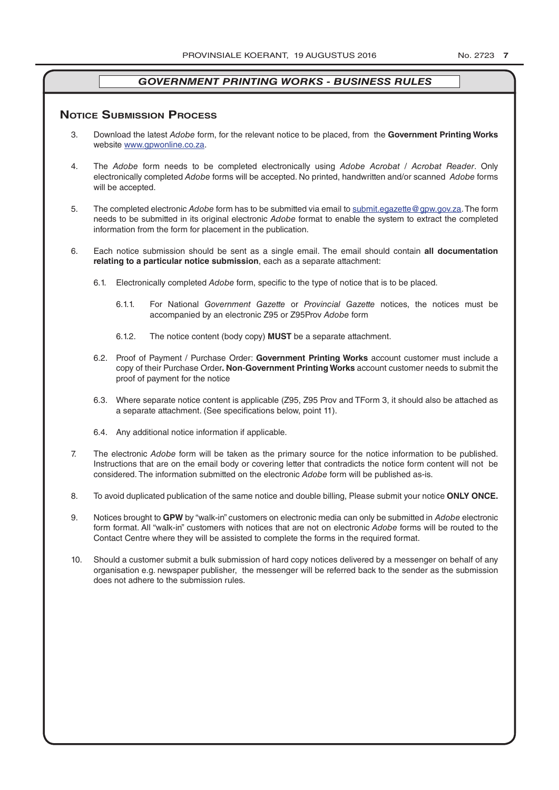#### **NOTICE SUBMISSION PROCESS**

- 3. Download the latest *Adobe* form, for the relevant notice to be placed, from the **Government Printing Works** website www.gpwonline.co.za.
- 4. The *Adobe* form needs to be completed electronically using *Adobe Acrobat* / *Acrobat Reader*. Only electronically completed *Adobe* forms will be accepted. No printed, handwritten and/or scanned *Adobe* forms will be accepted.
- 5. The completed electronic *Adobe* form has to be submitted via email to submit.egazette@gpw.gov.za. The form needs to be submitted in its original electronic *Adobe* format to enable the system to extract the completed information from the form for placement in the publication.
- 6. Each notice submission should be sent as a single email. The email should contain **all documentation relating to a particular notice submission**, each as a separate attachment:
	- 6.1. Electronically completed *Adobe* form, specific to the type of notice that is to be placed.
		- 6.1.1. For National *Government Gazette* or *Provincial Gazette* notices, the notices must be accompanied by an electronic Z95 or Z95Prov *Adobe* form
		- 6.1.2. The notice content (body copy) **MUST** be a separate attachment.
	- 6.2. Proof of Payment / Purchase Order: **Government Printing Works** account customer must include a copy of their Purchase Order*.* **Non**-**Government Printing Works** account customer needs to submit the proof of payment for the notice
	- 6.3. Where separate notice content is applicable (Z95, Z95 Prov and TForm 3, it should also be attached as a separate attachment. (See specifications below, point 11).
	- 6.4. Any additional notice information if applicable.
- 7. The electronic *Adobe* form will be taken as the primary source for the notice information to be published. Instructions that are on the email body or covering letter that contradicts the notice form content will not be considered. The information submitted on the electronic *Adobe* form will be published as-is.
- 8. To avoid duplicated publication of the same notice and double billing, Please submit your notice **ONLY ONCE.**
- 9. Notices brought to **GPW** by "walk-in" customers on electronic media can only be submitted in *Adobe* electronic form format. All "walk-in" customers with notices that are not on electronic *Adobe* forms will be routed to the Contact Centre where they will be assisted to complete the forms in the required format.
- 10. Should a customer submit a bulk submission of hard copy notices delivered by a messenger on behalf of any organisation e.g. newspaper publisher, the messenger will be referred back to the sender as the submission does not adhere to the submission rules.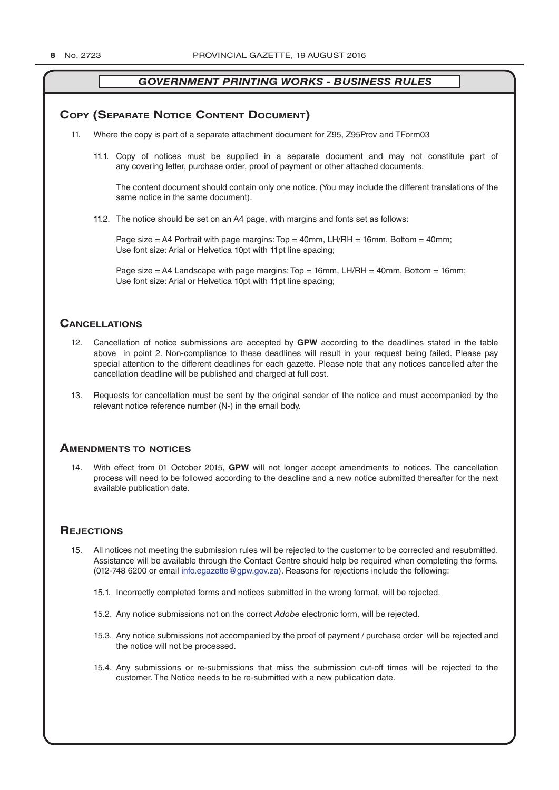#### **COPY (SEPARATE NOTICE CONTENT DOCUMENT)**

- 11. Where the copy is part of a separate attachment document for Z95, Z95Prov and TForm03
	- 11.1. Copy of notices must be supplied in a separate document and may not constitute part of any covering letter, purchase order, proof of payment or other attached documents.

The content document should contain only one notice. (You may include the different translations of the same notice in the same document).

11.2. The notice should be set on an A4 page, with margins and fonts set as follows:

Page size  $=$  A4 Portrait with page margins: Top  $=$  40mm, LH/RH  $=$  16mm, Bottom  $=$  40mm; Use font size: Arial or Helvetica 10pt with 11pt line spacing;

Page size = A4 Landscape with page margins: Top = 16mm, LH/RH = 40mm, Bottom = 16mm; Use font size: Arial or Helvetica 10pt with 11pt line spacing;

#### **CAnCellATions**

- 12. Cancellation of notice submissions are accepted by **GPW** according to the deadlines stated in the table above in point 2. Non-compliance to these deadlines will result in your request being failed. Please pay special attention to the different deadlines for each gazette. Please note that any notices cancelled after the cancellation deadline will be published and charged at full cost.
- 13. Requests for cancellation must be sent by the original sender of the notice and must accompanied by the relevant notice reference number (N-) in the email body.

#### **AmenDmenTs To noTiCes**

14. With effect from 01 October 2015, **GPW** will not longer accept amendments to notices. The cancellation process will need to be followed according to the deadline and a new notice submitted thereafter for the next available publication date.

### **REJECTIONS**

- 15. All notices not meeting the submission rules will be rejected to the customer to be corrected and resubmitted. Assistance will be available through the Contact Centre should help be required when completing the forms. (012-748 6200 or email info.egazette@gpw.gov.za). Reasons for rejections include the following:
	- 15.1. Incorrectly completed forms and notices submitted in the wrong format, will be rejected.
	- 15.2. Any notice submissions not on the correct *Adobe* electronic form, will be rejected.
	- 15.3. Any notice submissions not accompanied by the proof of payment / purchase order will be rejected and the notice will not be processed.
	- 15.4. Any submissions or re-submissions that miss the submission cut-off times will be rejected to the customer. The Notice needs to be re-submitted with a new publication date.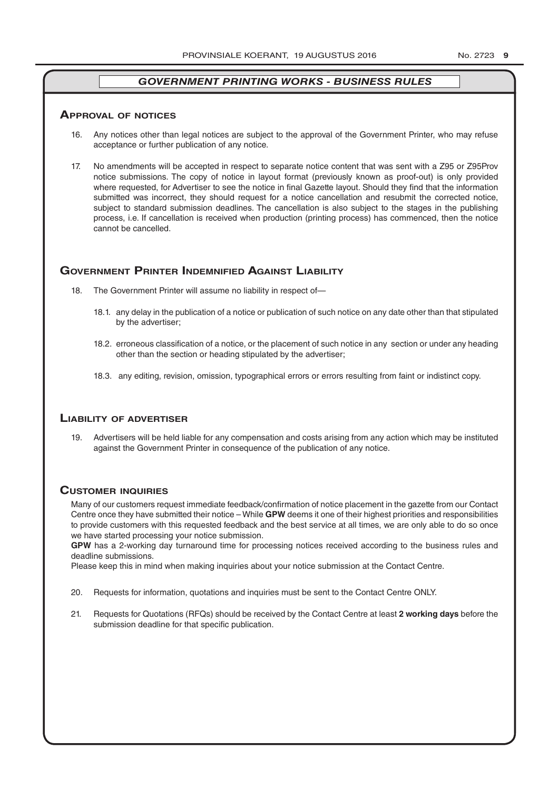#### **ApprovAl of noTiCes**

- 16. Any notices other than legal notices are subject to the approval of the Government Printer, who may refuse acceptance or further publication of any notice.
- 17. No amendments will be accepted in respect to separate notice content that was sent with a Z95 or Z95Prov notice submissions. The copy of notice in layout format (previously known as proof-out) is only provided where requested, for Advertiser to see the notice in final Gazette layout. Should they find that the information submitted was incorrect, they should request for a notice cancellation and resubmit the corrected notice, subject to standard submission deadlines. The cancellation is also subject to the stages in the publishing process, i.e. If cancellation is received when production (printing process) has commenced, then the notice cannot be cancelled.

#### **governmenT prinTer inDemnifieD AgAinsT liAbiliTy**

- 18. The Government Printer will assume no liability in respect of—
	- 18.1. any delay in the publication of a notice or publication of such notice on any date other than that stipulated by the advertiser;
	- 18.2. erroneous classification of a notice, or the placement of such notice in any section or under any heading other than the section or heading stipulated by the advertiser;
	- 18.3. any editing, revision, omission, typographical errors or errors resulting from faint or indistinct copy.

#### **liAbiliTy of ADverTiser**

19. Advertisers will be held liable for any compensation and costs arising from any action which may be instituted against the Government Printer in consequence of the publication of any notice.

#### **CusTomer inquiries**

Many of our customers request immediate feedback/confirmation of notice placement in the gazette from our Contact Centre once they have submitted their notice – While **GPW** deems it one of their highest priorities and responsibilities to provide customers with this requested feedback and the best service at all times, we are only able to do so once we have started processing your notice submission.

**GPW** has a 2-working day turnaround time for processing notices received according to the business rules and deadline submissions.

Please keep this in mind when making inquiries about your notice submission at the Contact Centre.

- 20. Requests for information, quotations and inquiries must be sent to the Contact Centre ONLY.
- 21. Requests for Quotations (RFQs) should be received by the Contact Centre at least **2 working days** before the submission deadline for that specific publication.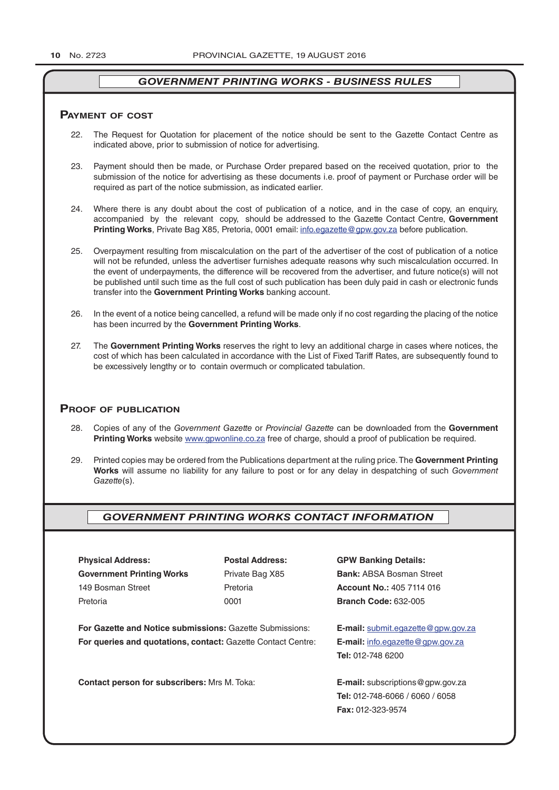#### **pAymenT of CosT**

- 22. The Request for Quotation for placement of the notice should be sent to the Gazette Contact Centre as indicated above, prior to submission of notice for advertising.
- 23. Payment should then be made, or Purchase Order prepared based on the received quotation, prior to the submission of the notice for advertising as these documents i.e. proof of payment or Purchase order will be required as part of the notice submission, as indicated earlier.
- 24. Where there is any doubt about the cost of publication of a notice, and in the case of copy, an enquiry, accompanied by the relevant copy, should be addressed to the Gazette Contact Centre, **Government Printing Works**, Private Bag X85, Pretoria, 0001 email: info.egazette@gpw.gov.za before publication.
- 25. Overpayment resulting from miscalculation on the part of the advertiser of the cost of publication of a notice will not be refunded, unless the advertiser furnishes adequate reasons why such miscalculation occurred. In the event of underpayments, the difference will be recovered from the advertiser, and future notice(s) will not be published until such time as the full cost of such publication has been duly paid in cash or electronic funds transfer into the **Government Printing Works** banking account.
- 26. In the event of a notice being cancelled, a refund will be made only if no cost regarding the placing of the notice has been incurred by the **Government Printing Works**.
- 27. The **Government Printing Works** reserves the right to levy an additional charge in cases where notices, the cost of which has been calculated in accordance with the List of Fixed Tariff Rates, are subsequently found to be excessively lengthy or to contain overmuch or complicated tabulation.

#### **proof of publiCATion**

- 28. Copies of any of the *Government Gazette* or *Provincial Gazette* can be downloaded from the **Government Printing Works** website www.gpwonline.co.za free of charge, should a proof of publication be required.
- 29. Printed copies may be ordered from the Publications department at the ruling price. The **Government Printing Works** will assume no liability for any failure to post or for any delay in despatching of such *Government Gazette*(s).

#### *GOVERNMENT PRINTING WORKS CONTACT INFORMATION*

**Physical Address: Postal Address: GPW Banking Details: Government Printing Works** Private Bag X85 **Bank:** ABSA Bosman Street 149 Bosman Street Pretoria **Account No.:** 405 7114 016 Pretoria 0001 **Branch Code:** 632-005

**For Gazette and Notice submissions:** Gazette Submissions: **E-mail:** submit.egazette@gpw.gov.za **For queries and quotations, contact:** Gazette Contact Centre: **E-mail:** info.egazette@gpw.gov.za

**Contact person for subscribers:** Mrs M. Toka: **E-mail:** subscriptions@gpw.gov.za

**Tel:** 012-748 6200

**Tel:** 012-748-6066 / 6060 / 6058 **Fax:** 012-323-9574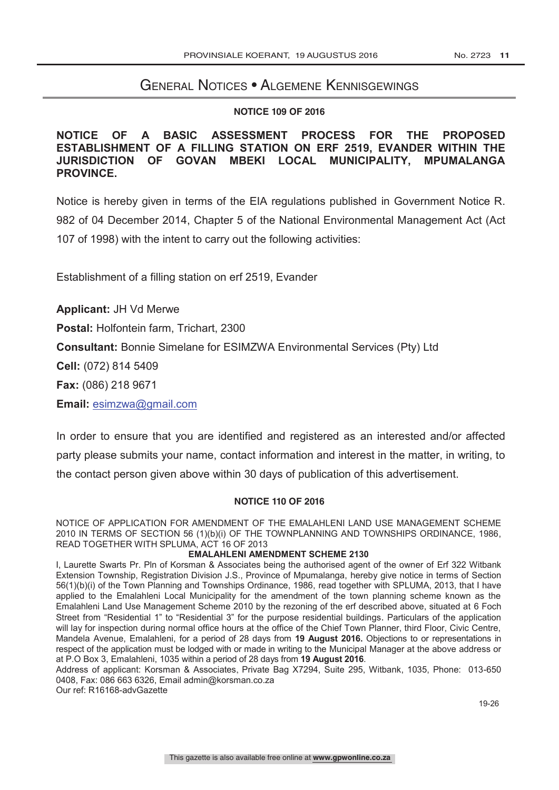# General Notices • Algemene Kennisgewings

#### **NOTICE 109 OF 2016**

# **NOTICE OF A BASIC ASSESSMENT PROCESS FOR THE PROPOSED ESTABLISHMENT OF A FILLING STATION ON ERF 2519, EVANDER WITHIN THE JURISDICTION OF GOVAN MBEKI LOCAL MUNICIPALITY, MPUMALANGA PROVINCE.**

Notice is hereby given in terms of the EIA regulations published in Government Notice R. 982 of 04 December 2014, Chapter 5 of the National Environmental Management Act (Act 107 of 1998) with the intent to carry out the following activities:

Establishment of a filling station on erf 2519, Evander

**Applicant:** JH Vd Merwe **Postal:** Holfontein farm, Trichart, 2300 **Consultant:** Bonnie Simelane for ESIMZWA Environmental Services (Pty) Ltd **Cell:** (072) 814 5409 **Fax:** (086) 218 9671

**Email:** esimzwa@gmail.com

In order to ensure that you are identified and registered as an interested and/or affected party please submits your name, contact information and interest in the matter, in writing, to the contact person given above within 30 days of publication of this advertisement.

#### **NOTICE 110 OF 2016**

NOTICE OF APPLICATION FOR AMENDMENT OF THE EMALAHLENI LAND USE MANAGEMENT SCHEME 2010 IN TERMS OF SECTION 56 (1)(b)(i) OF THE TOWNPLANNING AND TOWNSHIPS ORDINANCE, 1986, READ TOGETHER WITH SPLUMA, ACT 16 OF 2013

#### **EMALAHLENI AMENDMENT SCHEME 2130**

I, Laurette Swarts Pr. Pln of Korsman & Associates being the authorised agent of the owner of Erf 322 Witbank Extension Township, Registration Division J.S., Province of Mpumalanga, hereby give notice in terms of Section 56(1)(b)(i) of the Town Planning and Townships Ordinance, 1986, read together with SPLUMA, 2013, that I have applied to the Emalahleni Local Municipality for the amendment of the town planning scheme known as the Emalahleni Land Use Management Scheme 2010 by the rezoning of the erf described above, situated at 6 Foch Street from "Residential 1" to "Residential 3" for the purpose residential buildings. Particulars of the application will lay for inspection during normal office hours at the office of the Chief Town Planner, third Floor, Civic Centre, Mandela Avenue, Emalahleni, for a period of 28 days from **19 August 2016.** Objections to or representations in respect of the application must be lodged with or made in writing to the Municipal Manager at the above address or at P.O Box 3, Emalahleni, 1035 within a period of 28 days from **19 August 2016**.

Address of applicant: Korsman & Associates, Private Bag X7294, Suite 295, Witbank, 1035, Phone: 013-650 0408, Fax: 086 663 6326, Email admin@korsman.co.za

Our ref: R16168-advGazette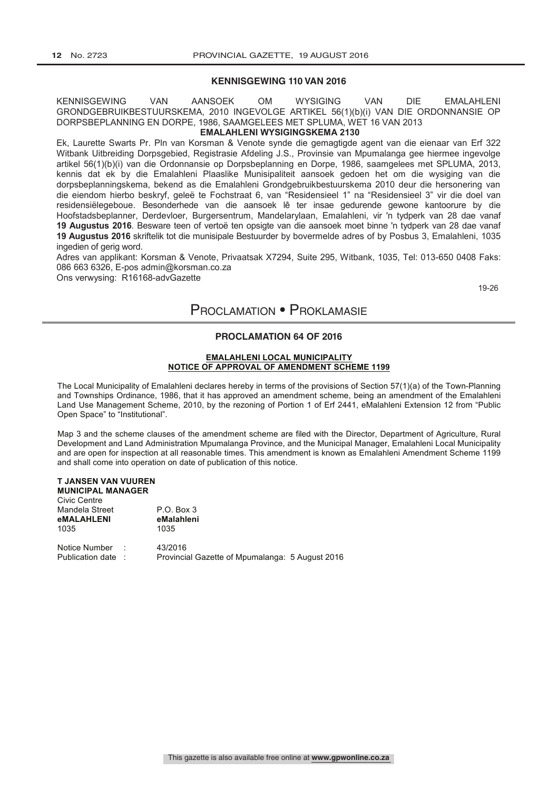#### **KENNISGEWING 110 VAN 2016**

KENNISGEWING VAN AANSOEK OM WYSIGING VAN DIE EMALAHLENI GRONDGEBRUIKBESTUURSKEMA, 2010 INGEVOLGE ARTIKEL 56(1)(b)(i) VAN DIE ORDONNANSIE OP DORPSBEPLANNING EN DORPE, 1986, SAAMGELEES MET SPLUMA, WET 16 VAN 2013  **EMALAHLENI WYSIGINGSKEMA 2130** 

Ek, Laurette Swarts Pr. Pln van Korsman & Venote synde die gemagtigde agent van die eienaar van Erf 322 Witbank Uitbreiding Dorpsgebied, Registrasie Afdeling J.S., Provinsie van Mpumalanga gee hiermee ingevolge artikel 56(1)(b)(i) van die Ordonnansie op Dorpsbeplanning en Dorpe, 1986, saamgelees met SPLUMA, 2013, kennis dat ek by die Emalahleni Plaaslike Munisipaliteit aansoek gedoen het om die wysiging van die dorpsbeplanningskema, bekend as die Emalahleni Grondgebruikbestuurskema 2010 deur die hersonering van die eiendom hierbo beskryf, geleë te Fochstraat 6, van "Residensieel 1" na "Residensieel 3" vir die doel van residensiëlegeboue. Besonderhede van die aansoek lê ter insae gedurende gewone kantoorure by die Hoofstadsbeplanner, Derdevloer, Burgersentrum, Mandelarylaan, Emalahleni, vir 'n tydperk van 28 dae vanaf **19 Augustus 2016**. Besware teen of vertoë ten opsigte van die aansoek moet binne 'n tydperk van 28 dae vanaf **19 Augustus 2016** skriftelik tot die munisipale Bestuurder by bovermelde adres of by Posbus 3, Emalahleni, 1035 ingedien of gerig word.

Adres van applikant: Korsman & Venote, Privaatsak X7294, Suite 295, Witbank, 1035, Tel: 013-650 0408 Faks: 086 663 6326, E-pos admin@korsman.co.za

Ons verwysing: R16168-advGazette

19-26

# PROCLAMATION • PROKLAMASIE

#### **PROCLAMATION 64 OF 2016**

#### **EMALAHLENI LOCAL MUNICIPALITY NOTICE OF APPROVAL OF AMENDMENT SCHEME 1199**

The Local Municipality of Emalahleni declares hereby in terms of the provisions of Section 57(1)(a) of the Town-Planning and Townships Ordinance, 1986, that it has approved an amendment scheme, being an amendment of the Emalahleni Land Use Management Scheme, 2010, by the rezoning of Portion 1 of Erf 2441, eMalahleni Extension 12 from "Public Open Space" to "Institutional".

Map 3 and the scheme clauses of the amendment scheme are filed with the Director, Department of Agriculture, Rural Development and Land Administration Mpumalanga Province, and the Municipal Manager, Emalahleni Local Municipality and are open for inspection at all reasonable times. This amendment is known as Emalahleni Amendment Scheme 1199 and shall come into operation on date of publication of this notice.

#### **T JANSEN VAN VUUREN MUNICIPAL MANAGER**

| <b>WONDER AL WARAOLIN</b> |                                                 |
|---------------------------|-------------------------------------------------|
| Civic Centre              |                                                 |
| Mandela Street            | P.O. Box 3                                      |
| <b>eMALAHLENI</b>         | eMalahleni                                      |
| 1035                      | 1035                                            |
| Notice Number             | 43/2016                                         |
| Publication date:         | Provincial Gazette of Mpumalanga: 5 August 2016 |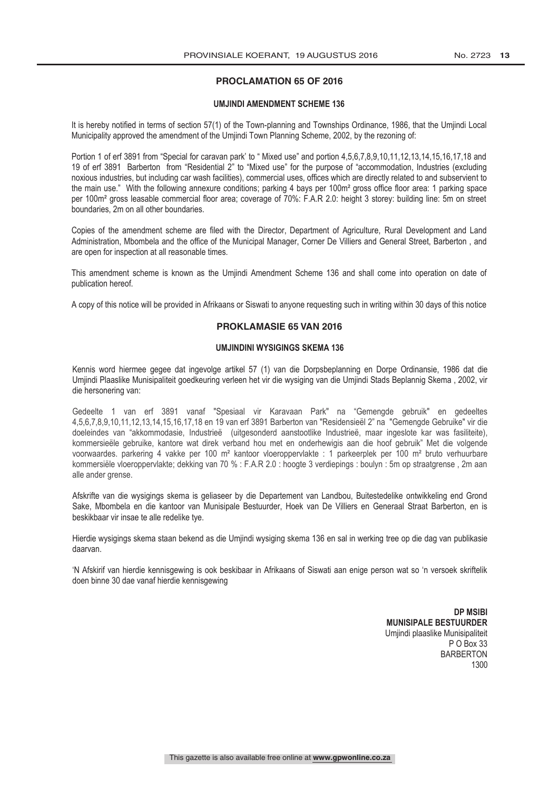#### **PROCLAMATION 65 OF 2016**

#### **UMJINDI AMENDMENT SCHEME 136**

It is hereby notified in terms of section 57(1) of the Town-planning and Townships Ordinance, 1986, that the Umjindi Local Municipality approved the amendment of the Umjindi Town Planning Scheme, 2002, by the rezoning of:

Portion 1 of erf 3891 from "Special for caravan park' to " Mixed use" and portion 4,5,6,7,8,9,10,11,12,13,14,15,16,17,18 and 19 of erf 3891 Barberton from "Residential 2" to "Mixed use" for the purpose of "accommodation, Industries (excluding noxious industries, but including car wash facilities), commercial uses, offices which are directly related to and subservient to the main use." With the following annexure conditions; parking 4 bays per 100m² gross office floor area: 1 parking space per 100m² gross leasable commercial floor area; coverage of 70%: F.A.R 2.0: height 3 storey: building line: 5m on street boundaries, 2m on all other boundaries.

Copies of the amendment scheme are filed with the Director, Department of Agriculture, Rural Development and Land Administration, Mbombela and the office of the Municipal Manager, Corner De Villiers and General Street, Barberton , and are open for inspection at all reasonable times.

This amendment scheme is known as the Umjindi Amendment Scheme 136 and shall come into operation on date of publication hereof.

A copy of this notice will be provided in Afrikaans or Siswati to anyone requesting such in writing within 30 days of this notice

#### **PROKLAMASIE 65 VAN 2016**

#### **UMJINDINI WYSIGINGS SKEMA 136**

Kennis word hiermee gegee dat ingevolge artikel 57 (1) van die Dorpsbeplanning en Dorpe Ordinansie, 1986 dat die Umjindi Plaaslike Munisipaliteit goedkeuring verleen het vir die wysiging van die Umjindi Stads Beplannig Skema , 2002, vir die hersonering van:

Gedeelte 1 van erf 3891 vanaf "Spesiaal vir Karavaan Park" na "Gemengde gebruik" en gedeeltes 4,5,6,7,8,9,10,11,12,13,14,15,16,17,18 en 19 van erf 3891 Barberton van "Residensieël 2" na "Gemengde Gebruike" vir die doeleindes van "akkommodasie, Industrieë (uitgesonderd aanstootlike Industrieë, maar ingeslote kar was fasiliteite), kommersieële gebruike, kantore wat direk verband hou met en onderhewigis aan die hoof gebruik" Met die volgende voorwaardes. parkering 4 vakke per 100 m² kantoor vloeroppervlakte : 1 parkeerplek per 100 m² bruto verhuurbare kommersiële vloeroppervlakte; dekking van 70 % : F.A.R 2.0 : hoogte 3 verdiepings : boulyn : 5m op straatgrense , 2m aan alle ander grense.

Afskrifte van die wysigings skema is geliaseer by die Departement van Landbou, Buitestedelike ontwikkeling end Grond Sake, Mbombela en die kantoor van Munisipale Bestuurder, Hoek van De Villiers en Generaal Straat Barberton, en is beskikbaar vir insae te alle redelike tye.

Hierdie wysigings skema staan bekend as die Umjindi wysiging skema 136 en sal in werking tree op die dag van publikasie daarvan.

'N Afskirif van hierdie kennisgewing is ook beskibaar in Afrikaans of Siswati aan enige person wat so 'n versoek skriftelik doen binne 30 dae vanaf hierdie kennisgewing

> **DP MSIBI MUNISIPALE BESTUURDER**  Umjindi plaaslike Munisipaliteit P O Box 33 **BARBERTON** 1300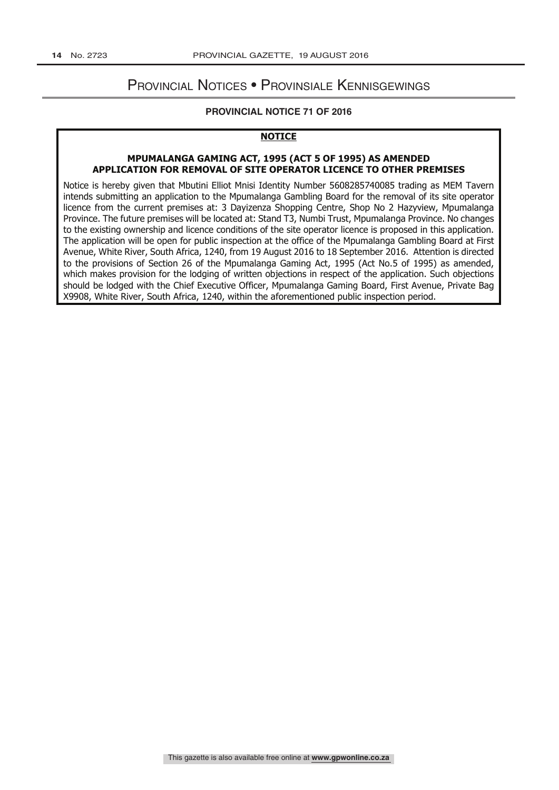# Provincial Notices • Provinsiale Kennisgewings

#### **PROVINCIAL NOTICE 71 OF 2016**

#### **NOTICE**

#### **MPUMALANGA GAMING ACT, 1995 (ACT 5 OF 1995) AS AMENDED APPLICATION FOR REMOVAL OF SITE OPERATOR LICENCE TO OTHER PREMISES**

Notice is hereby given that Mbutini Elliot Mnisi Identity Number 5608285740085 trading as MEM Tavern intends submitting an application to the Mpumalanga Gambling Board for the removal of its site operator licence from the current premises at: 3 Dayizenza Shopping Centre, Shop No 2 Hazyview, Mpumalanga Province. The future premises will be located at: Stand T3, Numbi Trust, Mpumalanga Province. No changes to the existing ownership and licence conditions of the site operator licence is proposed in this application. The application will be open for public inspection at the office of the Mpumalanga Gambling Board at First Avenue, White River, South Africa, 1240, from 19 August 2016 to 18 September 2016. Attention is directed to the provisions of Section 26 of the Mpumalanga Gaming Act, 1995 (Act No.5 of 1995) as amended, which makes provision for the lodging of written objections in respect of the application. Such objections should be lodged with the Chief Executive Officer, Mpumalanga Gaming Board, First Avenue, Private Bag X9908, White River, South Africa, 1240, within the aforementioned public inspection period.